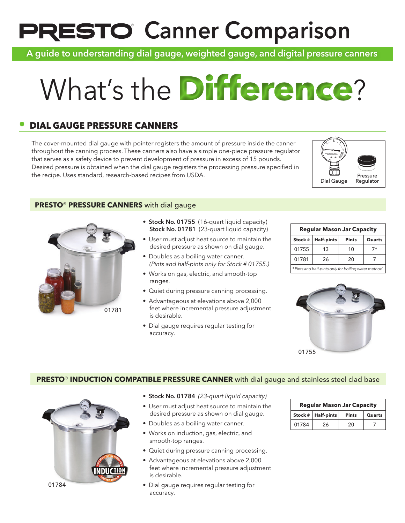# **PRESTO Canner Comparison**

A guide to understanding dial gauge, weighted gauge, and digital pressure canners

# What's the **Difference**

# **• DIAL GAUGE PRESSURE CANNERS**

The cover-mounted dial gauge with pointer registers the amount of pressure inside the canner throughout the canning process. These canners also have a simple one-piece pressure regulator that serves as a safety device to prevent development of pressure in excess of 15 pounds. Desired pressure is obtained when the dial gauge registers the processing pressure specified in the recipe. Uses standard, research-based recipes from USDA.



#### **PRESTO**® **PRESSURE CANNERS** with dial gauge



- Stock No. 01755 (16-quart liquid capacity) Stock No. 01781 (23-quart liquid capacity)
- User must adjust heat source to maintain the desired pressure as shown on dial gauge.
- Doubles as a boiling water canner. *(Pints and half-pints only for Stock # 01755.)*
- Works on gas, electric, and smooth-top ranges.
- Quiet during pressure canning processing.
- Advantageous at elevations above 2,000 feet where incremental pressure adjustment is desirable.
- Dial gauge requires regular testing for accuracy.

| <b>Regular Mason Jar Capacity</b>                    |                   |              |        |  |
|------------------------------------------------------|-------------------|--------------|--------|--|
| Stock #                                              | <b>Half-pints</b> | <b>Pints</b> | Quarts |  |
| 01755                                                | 13                | 10           | 7*     |  |
| 01781                                                | 26                | 20           |        |  |
| * Pints and half-pints only for boiling water method |                   |              |        |  |



#### **PRESTO<sup>®</sup>** INDUCTION COMPATIBLE PRESSURE CANNER with dial gauge and stainless steel clad base



- Stock No. 01784 *(23-quart liquid capacity)*
- User must adjust heat source to maintain the desired pressure as shown on dial gauge.
- Doubles as a boiling water canner.
- Works on induction, gas, electric, and smooth-top ranges.
- Quiet during pressure canning processing.
- Advantageous at elevations above 2,000 feet where incremental pressure adjustment is desirable.
- Dial gauge requires regular testing for accuracy.

| <b>Regular Mason Jar Capacity</b> |                        |              |        |  |
|-----------------------------------|------------------------|--------------|--------|--|
|                                   | Stock $#$   Half-pints | <b>Pints</b> | Quarts |  |
| 01784                             | 26                     | 20           |        |  |